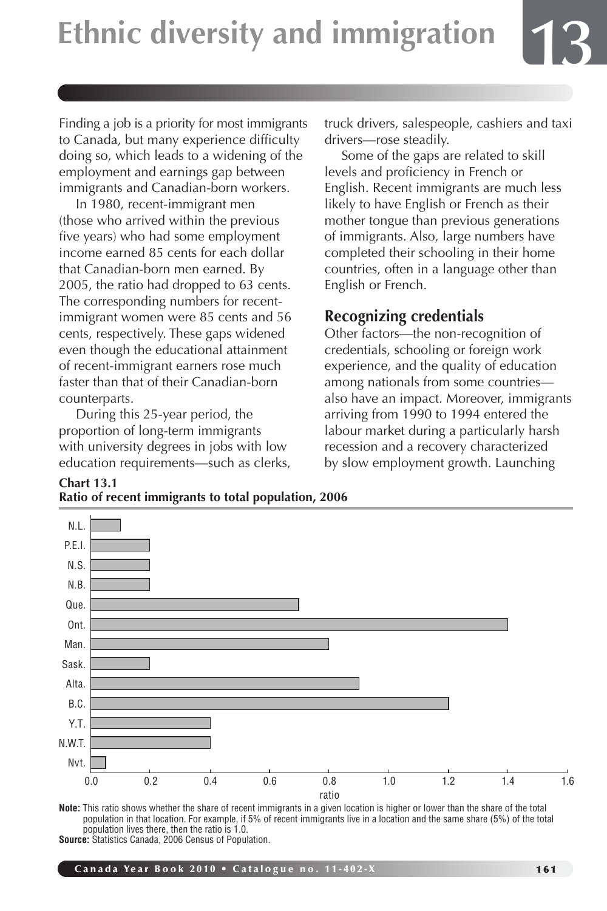Finding a job is a priority for most immigrants to Canada, but many experience difficulty doing so, which leads to a widening of the employment and earnings gap between immigrants and Canadian-born workers.

In 1980, recent-immigrant men (those who arrived within the previous five years) who had some employment income earned 85 cents for each dollar that Canadian-born men earned. By 2005, the ratio had dropped to 63 cents. The corresponding numbers for recentimmigrant women were 85 cents and 56 cents, respectively. These gaps widened even though the educational attainment of recent-immigrant earners rose much faster than that of their Canadian-born counterparts.

During this 25-year period, the proportion of long-term immigrants with university degrees in jobs with low education requirements—such as clerks,

**Chart 13.1**

truck drivers, salespeople, cashiers and taxi drivers—rose steadily.

**13**

Some of the gaps are related to skill levels and proficiency in French or English. Recent immigrants are much less likely to have English or French as their mother tongue than previous generations of immigrants. Also, large numbers have completed their schooling in their home countries, often in a language other than English or French.

### **Recognizing credentials**

Other factors—the non-recognition of credentials, schooling or foreign work experience, and the quality of education among nationals from some countries also have an impact. Moreover, immigrants arriving from 1990 to 1994 entered the labour market during a particularly harsh recession and a recovery characterized by slow employment growth. Launching



**Note:** This ratio shows whether the share of recent immigrants in a given location is higher or lower than the share of the total population in that location. For example, if 5% of recent immigrants live in a location and the same share (5%) of the total population lives there, then the ratio is 1.0. **Source:** Statistics Canada, 2006 Census of Population.

Canada Year Book 2010 • Catalogue no. 11-402-X 161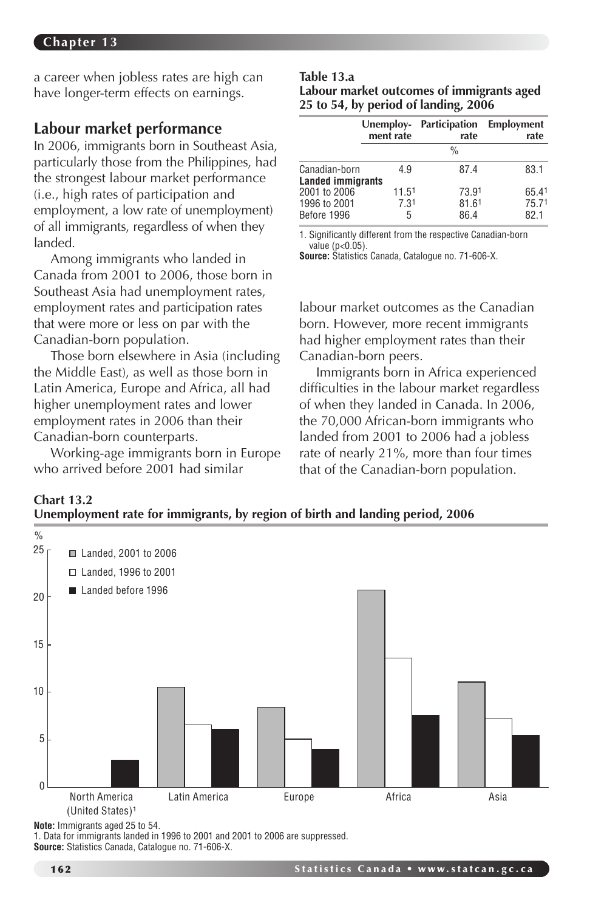a career when jobless rates are high can have longer-term effects on earnings.

#### **Labour market performance**

In 2006, immigrants born in Southeast Asia, particularly those from the Philippines, had the strongest labour market performance (i.e., high rates of participation and employment, a low rate of unemployment) of all immigrants, regardless of when they landed.

Among immigrants who landed in Canada from 2001 to 2006, those born in Southeast Asia had unemployment rates, employment rates and participation rates that were more or less on par with the Canadian-born population.

Those born elsewhere in Asia (including the Middle East), as well as those born in Latin America, Europe and Africa, all had higher unemployment rates and lower employment rates in 2006 than their Canadian-born counterparts.

Working-age immigrants born in Europe who arrived before 2001 had similar

#### **Table 13.a**

**Labour market outcomes of immigrants aged 25 to 54, by period of landing, 2006** 

|                                           | Unemploy- | Participation | <b>Employment</b> |  |
|-------------------------------------------|-----------|---------------|-------------------|--|
|                                           | ment rate | rate          | rate              |  |
|                                           |           | $\frac{0}{0}$ |                   |  |
| Canadian-born<br><b>Landed immigrants</b> | 49        | 87.4          | 83.1              |  |
| 2001 to 2006                              | 11.51     | 73.91         | 65.41             |  |
| 1996 to 2001                              | 7.31      | 81.61         | 75.71             |  |
| Before 1996                               | 5         | 86.4          | 82.1              |  |

1. Significantly different from the respective Canadian-born value (p<0.05).

**Source:** Statistics Canada, Catalogue no. 71-606-X.

labour market outcomes as the Canadian born. However, more recent immigrants had higher employment rates than their Canadian-born peers.

Immigrants born in Africa experienced difficulties in the labour market regardless of when they landed in Canada. In 2006, the 70,000 African-born immigrants who landed from 2001 to 2006 had a jobless rate of nearly 21%, more than four times that of the Canadian-born population.





**Note:** Immigrants aged 25 to 54.

1. Data for immigrants landed in 1996 to 2001 and 2001 to 2006 are suppressed. **Source:** Statistics Canada, Catalogue no. 71-606-X.

**Chart 13.2**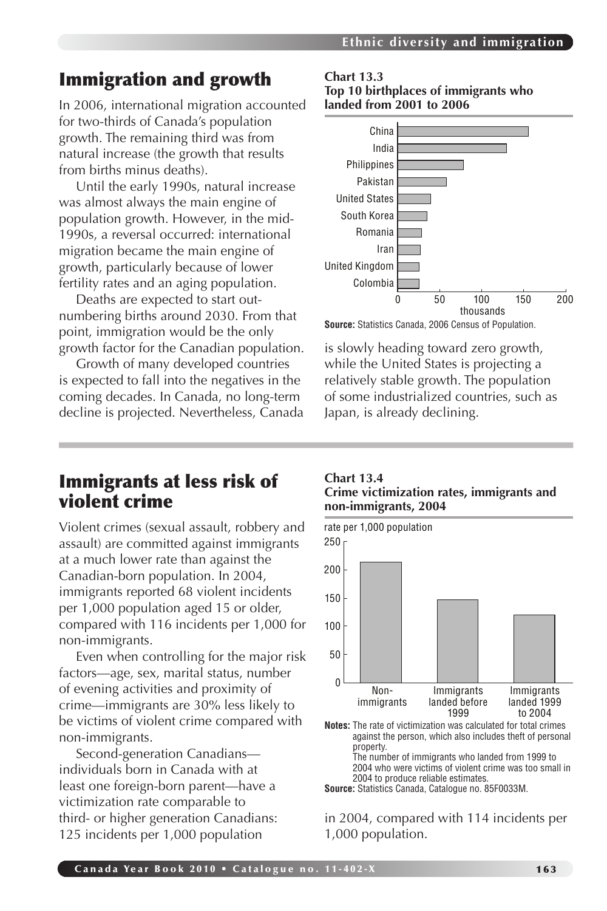## Immigration and growth

In 2006, international migration accounted for two-thirds of Canada's population growth. The remaining third was from natural increase (the growth that results from births minus deaths).

Until the early 1990s, natural increase was almost always the main engine of population growth. However, in the mid-1990s, a reversal occurred: international migration became the main engine of growth, particularly because of lower fertility rates and an aging population.

Deaths are expected to start outnumbering births around 2030. From that point, immigration would be the only growth factor for the Canadian population.

Growth of many developed countries is expected to fall into the negatives in the coming decades. In Canada, no long-term decline is projected. Nevertheless, Canada

## Immigrants at less risk of violent crime

Violent crimes (sexual assault, robbery and assault) are committed against immigrants at a much lower rate than against the Canadian-born population. In 2004, immigrants reported 68 violent incidents per 1,000 population aged 15 or older, compared with 116 incidents per 1,000 for non-immigrants.

Even when controlling for the major risk factors—age, sex, marital status, number of evening activities and proximity of crime—immigrants are 30% less likely to be victims of violent crime compared with non-immigrants.

Second-generation Canadians individuals born in Canada with at least one foreign-born parent—have a victimization rate comparable to third- or higher generation Canadians: 125 incidents per 1,000 population

**Chart 13.3 Top 10 birthplaces of immigrants who landed from 2001 to 2006**



**Source:** Statistics Canada, 2006 Census of Population.

is slowly heading toward zero growth, while the United States is projecting a relatively stable growth. The population of some industrialized countries, such as Japan, is already declining.

#### **Chart 13.4 Crime victimization rates, immigrants and non-immigrants, 2004**



**Notes:** The rate of victimization was calculated for total crimes against the person, which also includes theft of personal property. The number of immigrants who landed from 1999 to

2004 who were victims of violent crime was too small in 2004 to produce reliable estimates.

**Source:** Statistics Canada, Catalogue no. 85F0033M.

in 2004, compared with 114 incidents per 1,000 population.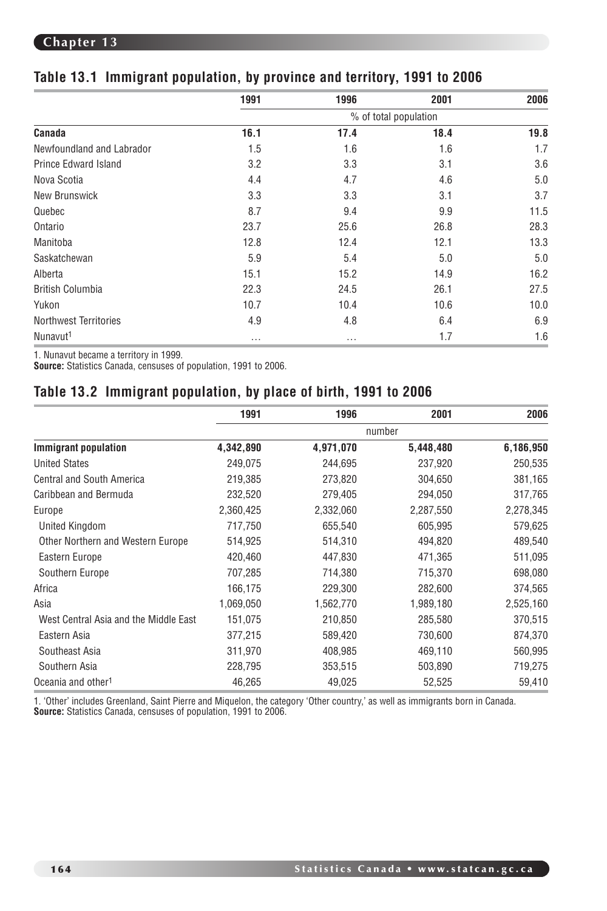|                              | 1991     | 1996     | 2001 | 2006 |
|------------------------------|----------|----------|------|------|
|                              |          |          |      |      |
| Canada                       | 16.1     | 17.4     | 18.4 | 19.8 |
| Newfoundland and Labrador    | 1.5      | 1.6      | 1.6  | 1.7  |
| <b>Prince Edward Island</b>  | 3.2      | 3.3      | 3.1  | 3.6  |
| Nova Scotia                  | 4.4      | 4.7      | 4.6  | 5.0  |
| New Brunswick                | 3.3      | 3.3      | 3.1  | 3.7  |
| Quebec                       | 8.7      | 9.4      | 9.9  | 11.5 |
| Ontario                      | 23.7     | 25.6     | 26.8 | 28.3 |
| Manitoba                     | 12.8     | 12.4     | 12.1 | 13.3 |
| Saskatchewan                 | 5.9      | 5.4      | 5.0  | 5.0  |
| Alberta                      | 15.1     | 15.2     | 14.9 | 16.2 |
| <b>British Columbia</b>      | 22.3     | 24.5     | 26.1 | 27.5 |
| Yukon                        | 10.7     | 10.4     | 10.6 | 10.0 |
| <b>Northwest Territories</b> | 4.9      | 4.8      | 6.4  | 6.9  |
| Nunavut <sup>1</sup>         | $\cdots$ | $\cdots$ | 1.7  | 1.6  |

#### **Table 13.1 Immigrant population, by province and territory, 1991 to 2006**

1. Nunavut became a territory in 1999.

**Source:** Statistics Canada, censuses of population, 1991 to 2006.

#### **Table 13.2 Immigrant population, by place of birth, 1991 to 2006**

|                                       | 1991      | 1996      | 2001      | 2006      |
|---------------------------------------|-----------|-----------|-----------|-----------|
|                                       |           |           | number    |           |
| <b>Immigrant population</b>           | 4,342,890 | 4,971,070 | 5,448,480 | 6,186,950 |
| <b>United States</b>                  | 249,075   | 244,695   | 237,920   | 250,535   |
| <b>Central and South America</b>      | 219,385   | 273,820   | 304,650   | 381,165   |
| Caribbean and Bermuda                 | 232,520   | 279,405   | 294,050   | 317,765   |
| Europe                                | 2,360,425 | 2,332,060 | 2,287,550 | 2,278,345 |
| United Kingdom                        | 717,750   | 655,540   | 605,995   | 579,625   |
| Other Northern and Western Europe     | 514,925   | 514,310   | 494,820   | 489,540   |
| Eastern Europe                        | 420,460   | 447,830   | 471,365   | 511,095   |
| Southern Europe                       | 707,285   | 714,380   | 715,370   | 698,080   |
| Africa                                | 166,175   | 229,300   | 282,600   | 374,565   |
| Asia                                  | 1,069,050 | 1,562,770 | 1,989,180 | 2,525,160 |
| West Central Asia and the Middle East | 151,075   | 210,850   | 285,580   | 370,515   |
| Eastern Asia                          | 377,215   | 589,420   | 730,600   | 874,370   |
| Southeast Asia                        | 311,970   | 408,985   | 469,110   | 560,995   |
| Southern Asia                         | 228,795   | 353,515   | 503,890   | 719,275   |
| Oceania and other <sup>1</sup>        | 46,265    | 49,025    | 52,525    | 59,410    |

1. 'Other' includes Greenland, Saint Pierre and Miquelon, the category 'Other country,' as well as immigrants born in Canada. **Source:** Statistics Canada, censuses of population, 1991 to 2006.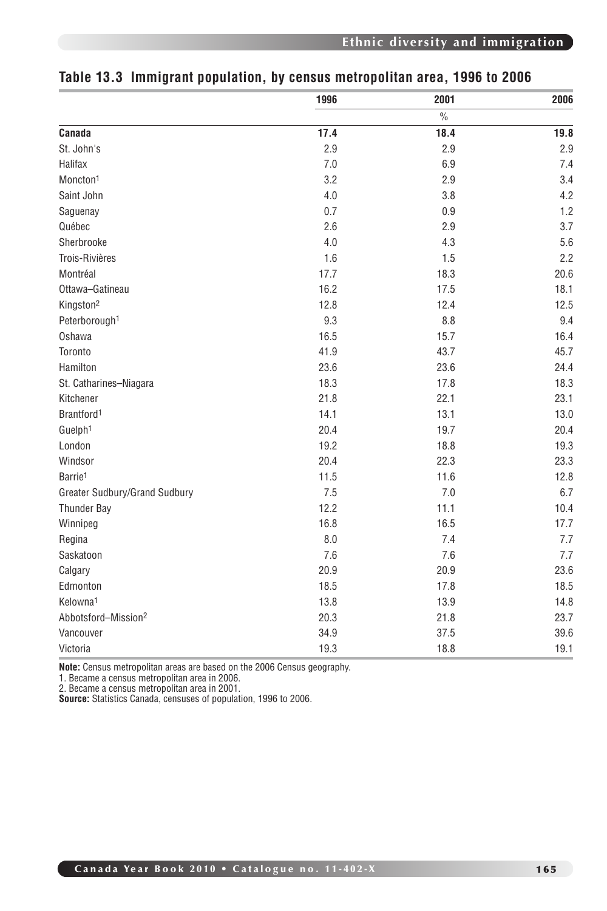|                                 | 1996 | 2001          | 2006 |
|---------------------------------|------|---------------|------|
|                                 |      | $\frac{0}{0}$ |      |
| Canada                          | 17.4 | 18.4          | 19.8 |
| St. John's                      | 2.9  | 2.9           | 2.9  |
| Halifax                         | 7.0  | 6.9           | 7.4  |
| Moncton <sup>1</sup>            | 3.2  | 2.9           | 3.4  |
| Saint John                      | 4.0  | 3.8           | 4.2  |
| Saguenay                        | 0.7  | 0.9           | 1.2  |
| Québec                          | 2.6  | 2.9           | 3.7  |
| Sherbrooke                      | 4.0  | 4.3           | 5.6  |
| Trois-Rivières                  | 1.6  | 1.5           | 2.2  |
| Montréal                        | 17.7 | 18.3          | 20.6 |
| Ottawa-Gatineau                 | 16.2 | 17.5          | 18.1 |
| Kingston <sup>2</sup>           | 12.8 | 12.4          | 12.5 |
| Peterborough <sup>1</sup>       | 9.3  | 8.8           | 9.4  |
| Oshawa                          | 16.5 | 15.7          | 16.4 |
| Toronto                         | 41.9 | 43.7          | 45.7 |
| Hamilton                        | 23.6 | 23.6          | 24.4 |
| St. Catharines-Niagara          | 18.3 | 17.8          | 18.3 |
| Kitchener                       | 21.8 | 22.1          | 23.1 |
| Brantford <sup>1</sup>          | 14.1 | 13.1          | 13.0 |
| Guelph <sup>1</sup>             | 20.4 | 19.7          | 20.4 |
| London                          | 19.2 | 18.8          | 19.3 |
| Windsor                         | 20.4 | 22.3          | 23.3 |
| Barrie <sup>1</sup>             | 11.5 | 11.6          | 12.8 |
| Greater Sudbury/Grand Sudbury   | 7.5  | 7.0           | 6.7  |
| Thunder Bay                     | 12.2 | 11.1          | 10.4 |
| Winnipeg                        | 16.8 | 16.5          | 17.7 |
| Regina                          | 8.0  | 7.4           | 7.7  |
| Saskatoon                       | 7.6  | 7.6           | 7.7  |
| Calgary                         | 20.9 | 20.9          | 23.6 |
| Edmonton                        | 18.5 | 17.8          | 18.5 |
| Kelowna <sup>1</sup>            | 13.8 | 13.9          | 14.8 |
| Abbotsford-Mission <sup>2</sup> | 20.3 | 21.8          | 23.7 |
| Vancouver                       | 34.9 | 37.5          | 39.6 |
| Victoria                        | 19.3 | 18.8          | 19.1 |

### **Table 13.3 Immigrant population, by census metropolitan area, 1996 to 2006**

**Note:** Census metropolitan areas are based on the 2006 Census geography.

1. Became a census metropolitan area in 2006. 2. Became a census metropolitan area in 2001.

**Source:** Statistics Canada, censuses of population, 1996 to 2006.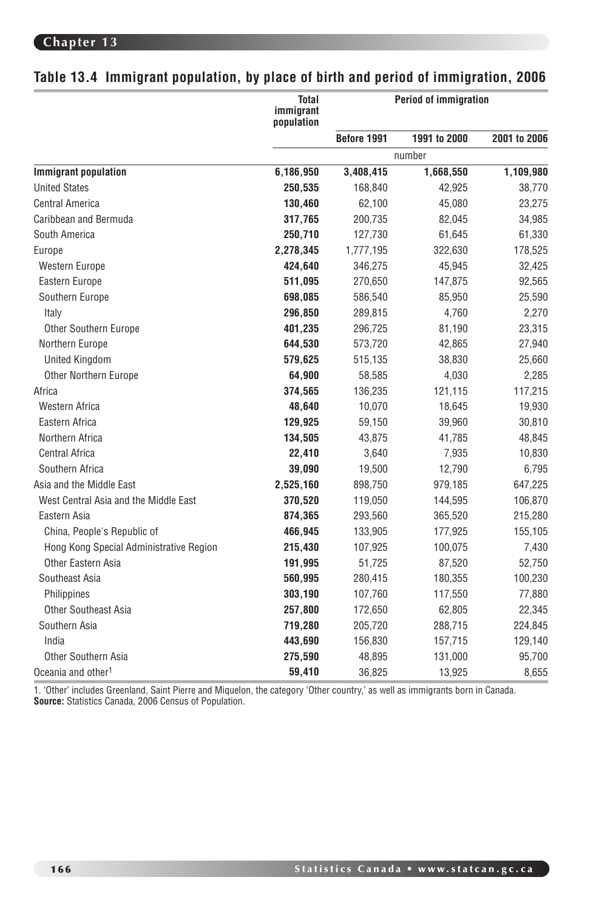### **Table 13.4 Immigrant population, by place of birth and period of immigration, 2006**

|                                         | <b>Total</b><br>immigrant<br>population |             | <b>Period of immigration</b> |              |
|-----------------------------------------|-----------------------------------------|-------------|------------------------------|--------------|
|                                         |                                         | Before 1991 | 1991 to 2000                 | 2001 to 2006 |
|                                         |                                         |             | number                       |              |
| <b>Immigrant population</b>             | 6,186,950                               | 3,408,415   | 1,668,550                    | 1,109,980    |
| <b>United States</b>                    | 250,535                                 | 168,840     | 42,925                       | 38,770       |
| Central America                         | 130,460                                 | 62,100      | 45,080                       | 23,275       |
| Caribbean and Bermuda                   | 317,765                                 | 200,735     | 82,045                       | 34,985       |
| South America                           | 250,710                                 | 127,730     | 61,645                       | 61,330       |
| Europe                                  | 2,278,345                               | 1,777,195   | 322,630                      | 178,525      |
| Western Europe                          | 424,640                                 | 346,275     | 45,945                       | 32,425       |
| Eastern Europe                          | 511,095                                 | 270,650     | 147,875                      | 92,565       |
| Southern Europe                         | 698,085                                 | 586,540     | 85,950                       | 25,590       |
| Italy                                   | 296,850                                 | 289,815     | 4,760                        | 2,270        |
| Other Southern Europe                   | 401,235                                 | 296,725     | 81,190                       | 23,315       |
| Northern Europe                         | 644,530                                 | 573,720     | 42,865                       | 27,940       |
| <b>United Kingdom</b>                   | 579,625                                 | 515,135     | 38,830                       | 25,660       |
| <b>Other Northern Europe</b>            | 64,900                                  | 58,585      | 4,030                        | 2,285        |
| Africa                                  | 374,565                                 | 136,235     | 121,115                      | 117,215      |
| Western Africa                          | 48,640                                  | 10,070      | 18,645                       | 19,930       |
| Eastern Africa                          | 129,925                                 | 59,150      | 39,960                       | 30,810       |
| Northern Africa                         | 134,505                                 | 43,875      | 41,785                       | 48,845       |
| <b>Central Africa</b>                   | 22,410                                  | 3,640       | 7,935                        | 10,830       |
| Southern Africa                         | 39,090                                  | 19,500      | 12,790                       | 6,795        |
| Asia and the Middle East                | 2,525,160                               | 898,750     | 979,185                      | 647,225      |
| West Central Asia and the Middle East   | 370,520                                 | 119,050     | 144,595                      | 106,870      |
| Eastern Asia                            | 874,365                                 | 293,560     | 365,520                      | 215,280      |
| China, People's Republic of             | 466,945                                 | 133,905     | 177,925                      | 155,105      |
| Hong Kong Special Administrative Region | 215,430                                 | 107,925     | 100,075                      | 7,430        |
| Other Eastern Asia                      | 191,995                                 | 51,725      | 87,520                       | 52,750       |
| Southeast Asia                          | 560,995                                 | 280,415     | 180,355                      | 100,230      |
| Philippines                             | 303,190                                 | 107,760     | 117,550                      | 77,880       |
| <b>Other Southeast Asia</b>             | 257,800                                 | 172,650     | 62,805                       | 22,345       |
| Southern Asia                           | 719,280                                 | 205,720     | 288,715                      | 224,845      |
| India                                   | 443,690                                 | 156,830     | 157,715                      | 129,140      |
| <b>Other Southern Asia</b>              | 275,590                                 | 48,895      | 131,000                      | 95,700       |
| Oceania and other <sup>1</sup>          | 59,410                                  | 36,825      | 13,925                       | 8,655        |

1. 'Other' includes Greenland, Saint Pierre and Miquelon, the category 'Other country,' as well as immigrants born in Canada.<br>**Source:** Statistics Canada, 2006 Census of Population.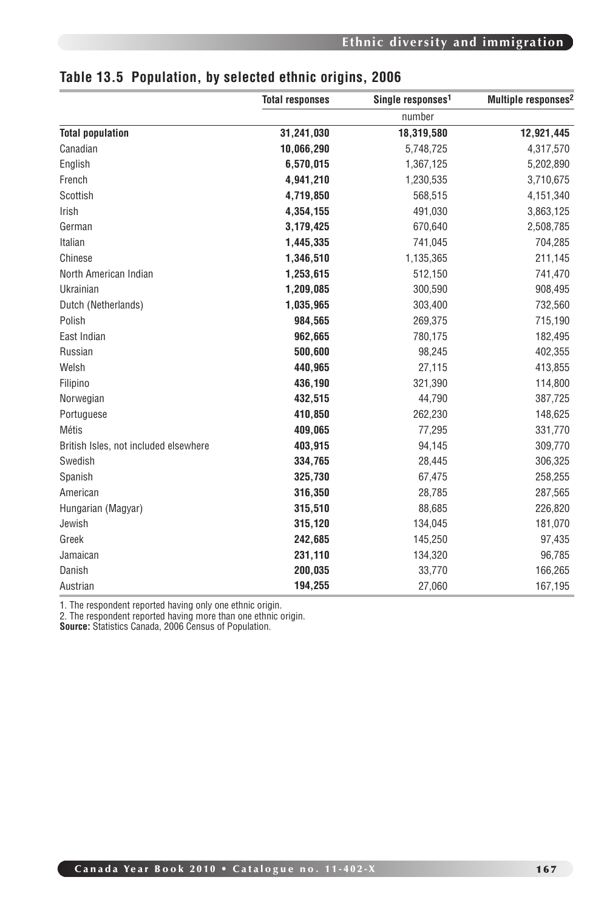|                                       | <b>Total responses</b> | Single responses <sup>1</sup> | Multiple responses <sup>2</sup> |
|---------------------------------------|------------------------|-------------------------------|---------------------------------|
|                                       |                        | number                        |                                 |
| <b>Total population</b>               | 31,241,030             | 18,319,580                    | 12,921,445                      |
| Canadian                              | 10,066,290             | 5,748,725                     | 4,317,570                       |
| English                               | 6,570,015              | 1,367,125                     | 5,202,890                       |
| French                                | 4,941,210              | 1,230,535                     | 3,710,675                       |
| Scottish                              | 4,719,850              | 568,515                       | 4,151,340                       |
| Irish                                 | 4,354,155              | 491,030                       | 3,863,125                       |
| German                                | 3,179,425              | 670,640                       | 2,508,785                       |
| Italian                               | 1,445,335              | 741,045                       | 704,285                         |
| Chinese                               | 1,346,510              | 1,135,365                     | 211,145                         |
| North American Indian                 | 1,253,615              | 512,150                       | 741,470                         |
| Ukrainian                             | 1,209,085              | 300,590                       | 908,495                         |
| Dutch (Netherlands)                   | 1,035,965              | 303,400                       | 732,560                         |
| Polish                                | 984,565                | 269,375                       | 715,190                         |
| East Indian                           | 962,665                | 780,175                       | 182,495                         |
| Russian                               | 500,600                | 98,245                        | 402,355                         |
| Welsh                                 | 440,965                | 27,115                        | 413,855                         |
| Filipino                              | 436,190                | 321,390                       | 114,800                         |
| Norwegian                             | 432,515                | 44,790                        | 387,725                         |
| Portuguese                            | 410,850                | 262,230                       | 148,625                         |
| Métis                                 | 409,065                | 77,295                        | 331,770                         |
| British Isles, not included elsewhere | 403,915                | 94,145                        | 309,770                         |
| Swedish                               | 334,765                | 28,445                        | 306,325                         |
| Spanish                               | 325,730                | 67,475                        | 258,255                         |
| American                              | 316,350                | 28,785                        | 287,565                         |
| Hungarian (Magyar)                    | 315,510                | 88,685                        | 226,820                         |
| Jewish                                | 315,120                | 134,045                       | 181,070                         |
| Greek                                 | 242,685                | 145,250                       | 97,435                          |
| Jamaican                              | 231,110                | 134,320                       | 96,785                          |
| Danish                                | 200,035                | 33,770                        | 166,265                         |
| Austrian                              | 194,255                | 27,060                        | 167,195                         |

#### **Table 13.5 Population, by selected ethnic origins, 2006**

1. The respondent reported having only one ethnic origin.

2. The respondent reported having more than one ethnic origin.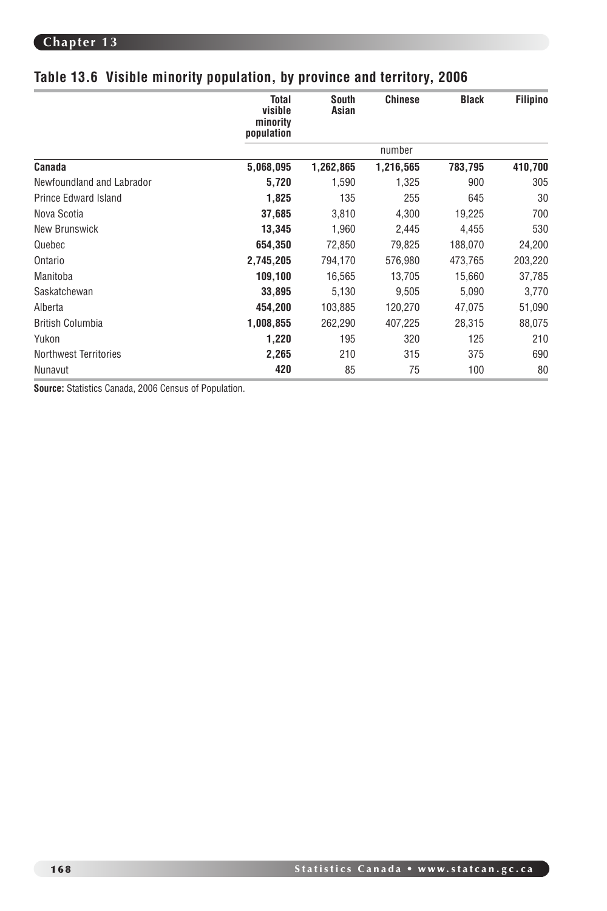## **Table 13.6 Visible minority population, by province and territory, 2006**

|                           | <b>Total</b><br>visible<br>minority<br>population | South<br>Asian | <b>Chinese</b> | <b>Black</b> | Filipino |
|---------------------------|---------------------------------------------------|----------------|----------------|--------------|----------|
|                           |                                                   |                | number         |              |          |
| Canada                    | 5,068,095                                         | 1,262,865      | 1,216,565      | 783,795      | 410,700  |
| Newfoundland and Labrador | 5,720                                             | 1,590          | 1,325          | 900          | 305      |
| Prince Edward Island      | 1,825                                             | 135            | 255            | 645          | 30       |
| Nova Scotia               | 37,685                                            | 3,810          | 4,300          | 19,225       | 700      |
| New Brunswick             | 13,345                                            | 1,960          | 2,445          | 4,455        | 530      |
| Quebec                    | 654,350                                           | 72,850         | 79,825         | 188,070      | 24,200   |
| Ontario                   | 2,745,205                                         | 794,170        | 576,980        | 473,765      | 203,220  |
| Manitoba                  | 109,100                                           | 16,565         | 13,705         | 15,660       | 37,785   |
| Saskatchewan              | 33,895                                            | 5,130          | 9,505          | 5,090        | 3,770    |
| Alberta                   | 454,200                                           | 103,885        | 120,270        | 47,075       | 51,090   |
| <b>British Columbia</b>   | 1,008,855                                         | 262,290        | 407,225        | 28,315       | 88,075   |
| Yukon                     | 1,220                                             | 195            | 320            | 125          | 210      |
| Northwest Territories     | 2,265                                             | 210            | 315            | 375          | 690      |
| Nunavut                   | 420                                               | 85             | 75             | 100          | 80       |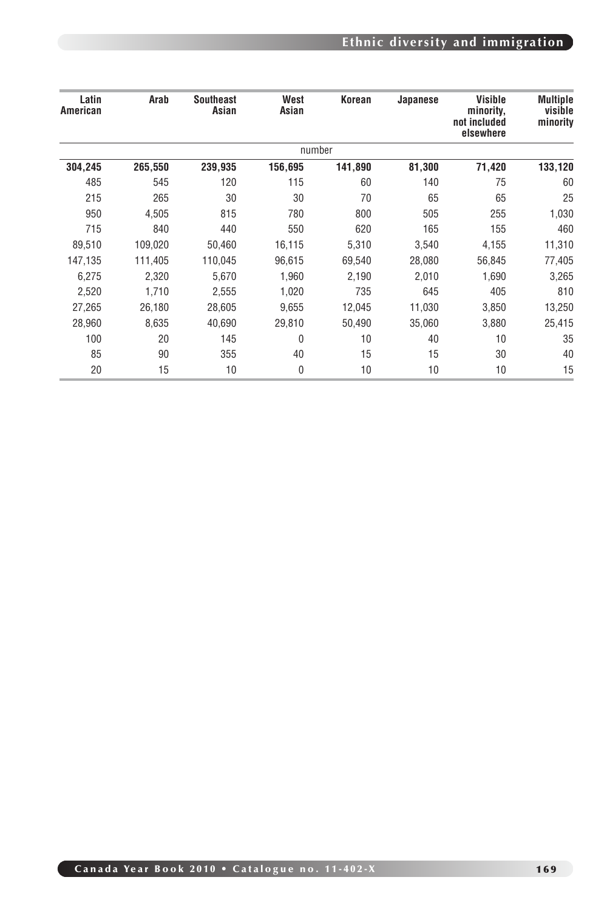# **Ethnic diversity and immigration**

| <b>Southeast</b><br>West<br>Visible<br>Korean<br>Japanese<br>Asian<br>Asian<br>minority,<br>not included<br>elsewhere | Arab    | Latin<br>American |
|-----------------------------------------------------------------------------------------------------------------------|---------|-------------------|
| number                                                                                                                |         |                   |
| 71,420<br>239,935<br>141,890<br>81,300<br>156,695                                                                     | 265,550 | 304,245           |
| 115<br>120<br>60<br>140                                                                                               | 545     | 485               |
| 30<br>30<br>70<br>65                                                                                                  | 265     | 215               |
| 255<br>815<br>780<br>800<br>505                                                                                       | 4,505   | 950               |
| 155<br>440<br>550<br>165<br>620                                                                                       | 840     | 715               |
| 4,155<br>50,460<br>16,115<br>5,310<br>3,540                                                                           | 109,020 | 89,510            |
| 56,845<br>110,045<br>96,615<br>69,540<br>28,080                                                                       | 111,405 | 147,135           |
| 5,670<br>1,960<br>1,690<br>2,190<br>2,010                                                                             | 2,320   | 6,275             |
| 405<br>2,555<br>1,020<br>735<br>645                                                                                   | 1,710   | 2,520             |
| 9,655<br>3,850<br>28,605<br>12,045<br>11,030                                                                          | 26,180  | 27,265            |
| 40,690<br>3,880<br>29,810<br>50,490<br>35,060                                                                         | 8,635   | 28,960            |
| 145<br>40<br>10 <sup>1</sup><br>$\theta$                                                                              | 20      | 100               |
| 15<br>355<br>15<br>40                                                                                                 | 90      | 85                |
| 10<br>10<br>10                                                                                                        | 15      | 20                |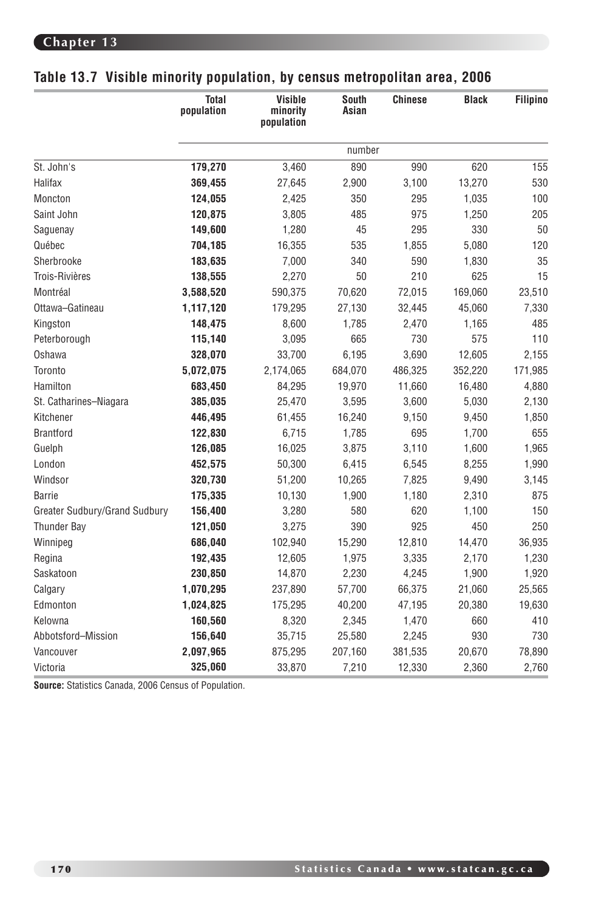| Table 13.7 Visible minority population, by census metropolitan area, 2006 |  |  |  |  |  |
|---------------------------------------------------------------------------|--|--|--|--|--|
|---------------------------------------------------------------------------|--|--|--|--|--|

|                               | <b>Total</b><br>population | Visible<br>minority<br>population | <b>South</b><br>Asian | <b>Chinese</b> | <b>Black</b> | Filipino |
|-------------------------------|----------------------------|-----------------------------------|-----------------------|----------------|--------------|----------|
|                               |                            |                                   | number                |                |              |          |
| St. John's                    | 179,270                    | 3,460                             | 890                   | 990            | 620          | 155      |
| Halifax                       | 369,455                    | 27,645                            | 2,900                 | 3,100          | 13,270       | 530      |
| Moncton                       | 124,055                    | 2,425                             | 350                   | 295            | 1,035        | 100      |
| Saint John                    | 120,875                    | 3,805                             | 485                   | 975            | 1,250        | 205      |
| Saguenay                      | 149,600                    | 1,280                             | 45                    | 295            | 330          | $50\,$   |
| Québec                        | 704,185                    | 16,355                            | 535                   | 1,855          | 5,080        | 120      |
| Sherbrooke                    | 183,635                    | 7,000                             | 340                   | 590            | 1,830        | 35       |
| Trois-Rivières                | 138,555                    | 2,270                             | 50                    | 210            | 625          | 15       |
| Montréal                      | 3,588,520                  | 590,375                           | 70,620                | 72,015         | 169,060      | 23,510   |
| Ottawa-Gatineau               | 1,117,120                  | 179,295                           | 27,130                | 32,445         | 45,060       | 7,330    |
| Kingston                      | 148,475                    | 8,600                             | 1,785                 | 2,470          | 1,165        | 485      |
| Peterborough                  | 115,140                    | 3,095                             | 665                   | 730            | 575          | 110      |
| Oshawa                        | 328,070                    | 33,700                            | 6,195                 | 3,690          | 12,605       | 2,155    |
| Toronto                       | 5,072,075                  | 2,174,065                         | 684,070               | 486,325        | 352,220      | 171,985  |
| Hamilton                      | 683,450                    | 84,295                            | 19,970                | 11,660         | 16,480       | 4,880    |
| St. Catharines-Niagara        | 385,035                    | 25,470                            | 3,595                 | 3,600          | 5,030        | 2,130    |
| Kitchener                     | 446,495                    | 61,455                            | 16,240                | 9,150          | 9,450        | 1,850    |
| <b>Brantford</b>              | 122,830                    | 6,715                             | 1,785                 | 695            | 1,700        | 655      |
| Guelph                        | 126,085                    | 16,025                            | 3,875                 | 3,110          | 1,600        | 1,965    |
| London                        | 452,575                    | 50,300                            | 6,415                 | 6,545          | 8,255        | 1,990    |
| Windsor                       | 320,730                    | 51,200                            | 10,265                | 7,825          | 9,490        | 3,145    |
| Barrie                        | 175,335                    | 10,130                            | 1,900                 | 1,180          | 2,310        | 875      |
| Greater Sudbury/Grand Sudbury | 156,400                    | 3,280                             | 580                   | 620            | 1,100        | 150      |
| Thunder Bay                   | 121,050                    | 3,275                             | 390                   | 925            | 450          | 250      |
| Winnipeg                      | 686,040                    | 102,940                           | 15,290                | 12,810         | 14,470       | 36,935   |
| Regina                        | 192,435                    | 12,605                            | 1,975                 | 3,335          | 2,170        | 1,230    |
| Saskatoon                     | 230,850                    | 14,870                            | 2,230                 | 4,245          | 1,900        | 1,920    |
| Calgary                       | 1,070,295                  | 237,890                           | 57,700                | 66,375         | 21,060       | 25,565   |
| Edmonton                      | 1,024,825                  | 175,295                           | 40,200                | 47,195         | 20,380       | 19,630   |
| Kelowna                       | 160,560                    | 8,320                             | 2,345                 | 1,470          | 660          | 410      |
| Abbotsford-Mission            | 156,640                    | 35,715                            | 25,580                | 2,245          | 930          | 730      |
| Vancouver                     | 2,097,965                  | 875,295                           | 207.160               | 381,535        | 20.670       | 78,890   |
| Victoria                      | 325,060                    | 33,870                            | 7,210                 | 12,330         | 2.360        | 2,760    |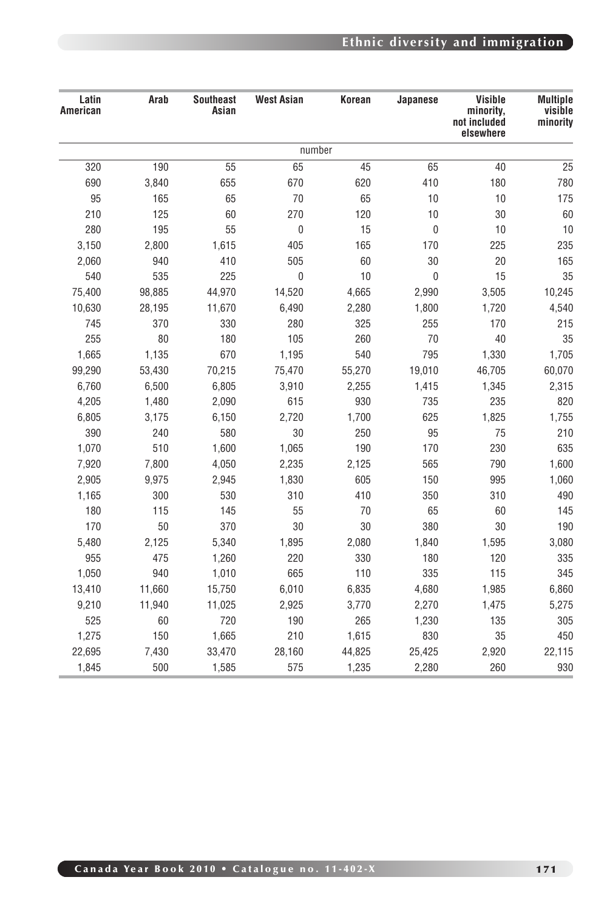## **Ethnic diversity and immigration**

| <b>Multiple</b><br>visible | Visible<br>minority,      | Japanese    | Korean | <b>West Asian</b> | <b>Southeast</b><br>Asian | Arab   | Latin<br>American |
|----------------------------|---------------------------|-------------|--------|-------------------|---------------------------|--------|-------------------|
| minority                   | not included<br>elsewhere |             |        |                   |                           |        |                   |
|                            |                           |             |        | number            |                           |        |                   |
|                            | 40                        | 65          | 45     | 65                | 55                        | 190    | 320               |
|                            | 180                       | 410         | 620    | 670               | 655                       | 3,840  | 690               |
|                            | 10                        | 10          | 65     | 70                | 65                        | 165    | 95                |
|                            | $30\,$                    | $10$        | 120    | 270               | 60                        | 125    | 210               |
|                            | $10$                      | $\mathbb O$ | 15     | $\mathbf 0$       | 55                        | 195    | 280               |
|                            | 225                       | 170         | 165    | 405               | 1,615                     | 2,800  | 3,150             |
|                            | $20\,$                    | 30          | 60     | 505               | 410                       | 940    | 2,060             |
|                            | 15                        | $\mathbf 0$ | 10     | $\mathbf 0$       | 225                       | 535    | 540               |
| 10,245                     | 3,505                     | 2,990       | 4,665  | 14,520            | 44,970                    | 98,885 | 75,400            |
|                            | 1,720                     | 1,800       | 2,280  | 6,490             | 11,670                    | 28,195 | 10,630            |
|                            | 170                       | 255         | 325    | 280               | 330                       | 370    | 745               |
|                            | 40                        | $70$        | 260    | 105               | 180                       | $80\,$ | 255               |
|                            | 1,330                     | 795         | 540    | 1,195             | 670                       | 1,135  | 1,665             |
|                            | 46,705                    | 19,010      | 55,270 | 75,470            | 70,215                    | 53,430 | 99,290            |
|                            | 1,345                     | 1,415       | 2,255  | 3,910             | 6,805                     | 6,500  | 6,760             |
|                            | 235                       | 735         | 930    | 615               | 2,090                     | 1,480  | 4,205             |
|                            | 1,825                     | 625         | 1,700  | 2,720             | 6,150                     | 3,175  | 6,805             |
|                            | 75                        | 95          | 250    | 30                | 580                       | 240    | 390               |
|                            | 230                       | 170         | 190    | 1,065             | 1,600                     | 510    | 1,070             |
|                            | 790                       | 565         | 2,125  | 2,235             | 4,050                     | 7,800  | 7,920             |
|                            | 995                       | 150         | 605    | 1,830             | 2,945                     | 9,975  | 2,905             |
|                            | 310                       | 350         | 410    | 310               | 530                       | 300    | 1,165             |
|                            | $60\,$                    | 65          | 70     | 55                | 145                       | 115    | 180               |
|                            | 30                        | 380         | 30     | 30                | 370                       | 50     | 170               |
|                            | 1,595                     | 1,840       | 2,080  | 1,895             | 5,340                     | 2,125  | 5,480             |
|                            | 120                       | 180         | 330    | 220               | 1,260                     | 475    | 955               |
|                            | 115                       | 335         | 110    | 665               | 1,010                     | 940    | 1,050             |
|                            | 1,985                     | 4,680       | 6,835  | 6,010             | 15,750                    | 11,660 | 13,410            |
|                            | 1,475                     | 2,270       | 3,770  | 2,925             | 11,025                    | 11,940 | 9,210             |
|                            | 135                       | 1,230       | 265    | 190               | 720                       | 60     | 525               |
|                            | $35\,$                    | 830         | 1,615  | 210               | 1,665                     | 150    | 1,275             |
|                            | 2,920                     | 25,425      | 44,825 | 28,160            | 33,470                    | 7,430  | 22,695            |
|                            | 260                       | 2,280       | 1,235  | 575               | 1,585                     | 500    | 1,845             |